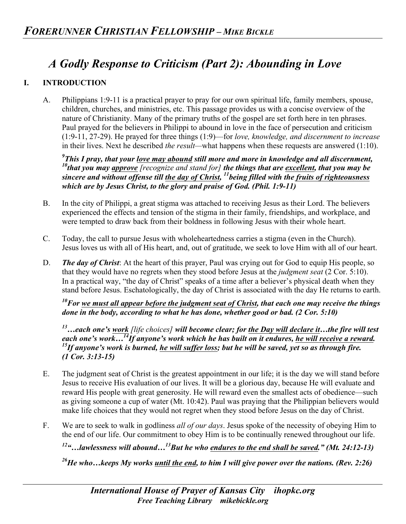## *A Godly Response to Criticism (Part 2): Abounding in Love*

## **I. INTRODUCTION**

A. Philippians 1:9-11 is a practical prayer to pray for our own spiritual life, family members, spouse, children, churches, and ministries, etc. This passage provides us with a concise overview of the nature of Christianity. Many of the primary truths of the gospel are set forth here in ten phrases. Paul prayed for the believers in Philippi to abound in love in the face of persecution and criticism (1:9-11, 27-29). He prayed for three things (1:9)—for *love, knowledge, and discernment to increase* in their lives. Next he described *the result—*what happens when these requests are answered (1:10).

*9 This I pray, that your love may abound still more and more in knowledge and all discernment, 10that you may approve [recognize and stand for] the things that are excellent, that you may be sincere and without offense till the day of Christ, 11being filled with the fruits of righteousness which are by Jesus Christ, to the glory and praise of God. (Phil. 1:9-11)*

- B. In the city of Philippi, a great stigma was attached to receiving Jesus as their Lord. The believers experienced the effects and tension of the stigma in their family, friendships, and workplace, and were tempted to draw back from their boldness in following Jesus with their whole heart.
- C. Today, the call to pursue Jesus with wholeheartedness carries a stigma (even in the Church). Jesus loves us with all of His heart, and, out of gratitude, we seek to love Him with all of our heart.
- D. *The day of Christ*: At the heart of this prayer, Paul was crying out for God to equip His people, so that they would have no regrets when they stood before Jesus at the *judgment seat* (2 Cor. 5:10). In a practical way, "the day of Christ" speaks of a time after a believer's physical death when they stand before Jesus. Eschatologically, the day of Christ is associated with the day He returns to earth.

*10For we must all appear before the judgment seat of Christ, that each one may receive the things done in the body, according to what he has done, whether good or bad. (2 Cor. 5:10)*

*13…each one's work [life choices] will become clear; for the Day will declare it…the fire will test*  each one's work...<sup>14</sup>If anyone's work which he has built on it endures, <u>he will receive a reward</u>.<br><sup>15</sup>If anyone's work is burned, he will suffer loss; but he will be saved, yet so as through fire. *(1 Cor. 3:13-15)*

- E. The judgment seat of Christ is the greatest appointment in our life; it is the day we will stand before Jesus to receive His evaluation of our lives. It will be a glorious day, because He will evaluate and reward His people with great generosity. He will reward even the smallest acts of obedience—such as giving someone a cup of water (Mt. 10:42). Paul was praying that the Philippian believers would make life choices that they would not regret when they stood before Jesus on the day of Christ.
- F. We are to seek to walk in godliness *all of our days*. Jesus spoke of the necessity of obeying Him to the end of our life. Our commitment to obey Him is to be continually renewed throughout our life.

*12"…lawlessness will abound…13But he who endures to the end shall be saved." (Mt. 24:12-13)*

*26He who…keeps My works until the end, to him I will give power over the nations. (Rev. 2:26)*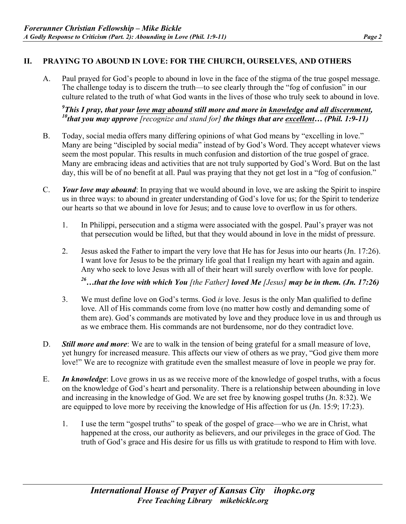## **II. PRAYING TO ABOUND IN LOVE: FOR THE CHURCH, OURSELVES, AND OTHERS**

A. Paul prayed for God's people to abound in love in the face of the stigma of the true gospel message. The challenge today is to discern the truth—to see clearly through the "fog of confusion" in our culture related to the truth of what God wants in the lives of those who truly seek to abound in love.

## <sup>9</sup>This I pray, that your love may abound still more and more in <u>knowledge</u> and <u>all discernment</u>, *This I pray, that your love may abound still more and more in knowledge and all discernment, 10that you may approve [recognize and stand for] the things that are excellent… (Phil. 1:9-11)*

- B. Today, social media offers many differing opinions of what God means by "excelling in love." Many are being "discipled by social media" instead of by God's Word. They accept whatever views seem the most popular. This results in much confusion and distortion of the true gospel of grace. Many are embracing ideas and activities that are not truly supported by God's Word. But on the last day, this will be of no benefit at all. Paul was praying that they not get lost in a "fog of confusion."
- C. *Your love may abound*: In praying that we would abound in love, we are asking the Spirit to inspire us in three ways: to abound in greater understanding of God's love for us; for the Spirit to tenderize our hearts so that we abound in love for Jesus; and to cause love to overflow in us for others.
	- 1. In Philippi, persecution and a stigma were associated with the gospel. Paul's prayer was not that persecution would be lifted, but that they would abound in love in the midst of pressure.
	- 2. Jesus asked the Father to impart the very love that He has for Jesus into our hearts (Jn. 17:26). I want love for Jesus to be the primary life goal that I realign my heart with again and again. Any who seek to love Jesus with all of their heart will surely overflow with love for people.

*26…that the love with which You [the Father] loved Me [Jesus] may be in them. (Jn. 17:26)*

- 3. We must define love on God's terms. God *is* love. Jesus is the only Man qualified to define love. All of His commands come from love (no matter how costly and demanding some of them are). God's commands are motivated by love and they produce love in us and through us as we embrace them. His commands are not burdensome, nor do they contradict love.
- D. *Still more and more*: We are to walk in the tension of being grateful for a small measure of love, yet hungry for increased measure. This affects our view of others as we pray, "God give them more love!" We are to recognize with gratitude even the smallest measure of love in people we pray for.
- E. *In knowledge*: Love grows in us as we receive more of the knowledge of gospel truths, with a focus on the knowledge of God's heart and personality. There is a relationship between abounding in love and increasing in the knowledge of God. We are set free by knowing gospel truths (Jn. 8:32). We are equipped to love more by receiving the knowledge of His affection for us (Jn. 15:9; 17:23).
	- 1. I use the term "gospel truths" to speak of the gospel of grace—who we are in Christ, what happened at the cross, our authority as believers, and our privileges in the grace of God. The truth of God's grace and His desire for us fills us with gratitude to respond to Him with love.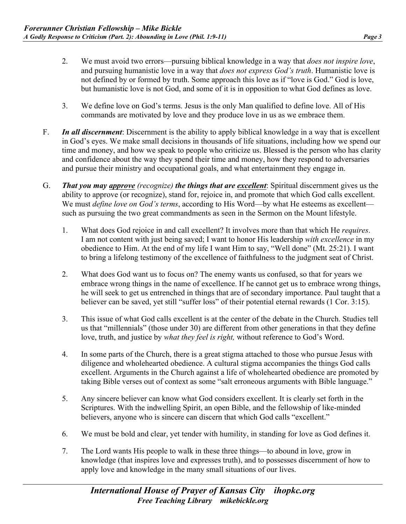- 2. We must avoid two errors—pursuing biblical knowledge in a way that *does not inspire love*, and pursuing humanistic love in a way that *does not express God's truth*. Humanistic love is not defined by or formed by truth. Some approach this love as if "love is God." God is love, but humanistic love is not God, and some of it is in opposition to what God defines as love.
- 3. We define love on God's terms. Jesus is the only Man qualified to define love. All of His commands are motivated by love and they produce love in us as we embrace them.
- F. *In all discernment*: Discernment is the ability to apply biblical knowledge in a way that is excellent in God's eyes. We make small decisions in thousands of life situations, including how we spend our time and money, and how we speak to people who criticize us. Blessed is the person who has clarity and confidence about the way they spend their time and money, how they respond to adversaries and pursue their ministry and occupational goals, and what entertainment they engage in.
- G. *That you may approve (recognize) the things that are excellent*: Spiritual discernment gives us the ability to approve (or recognize), stand for, rejoice in, and promote that which God calls excellent. We must *define love on God's terms*, according to His Word—by what He esteems as excellent such as pursuing the two great commandments as seen in the Sermon on the Mount lifestyle.
	- 1. What does God rejoice in and call excellent? It involves more than that which He *requires*. I am not content with just being saved; I want to honor His leadership *with excellence* in my obedience to Him. At the end of my life I want Him to say, "Well done" (Mt. 25:21). I want to bring a lifelong testimony of the excellence of faithfulness to the judgment seat of Christ.
	- 2. What does God want us to focus on? The enemy wants us confused, so that for years we embrace wrong things in the name of excellence. If he cannot get us to embrace wrong things, he will seek to get us entrenched in things that are of secondary importance. Paul taught that a believer can be saved, yet still "suffer loss" of their potential eternal rewards (1 Cor. 3:15).
	- 3. This issue of what God calls excellent is at the center of the debate in the Church. Studies tell us that "millennials" (those under 30) are different from other generations in that they define love, truth, and justice by *what they feel is right,* without reference to God's Word.
	- 4. In some parts of the Church, there is a great stigma attached to those who pursue Jesus with diligence and wholehearted obedience. A cultural stigma accompanies the things God calls excellent. Arguments in the Church against a life of wholehearted obedience are promoted by taking Bible verses out of context as some "salt erroneous arguments with Bible language."
	- 5. Any sincere believer can know what God considers excellent. It is clearly set forth in the Scriptures. With the indwelling Spirit, an open Bible, and the fellowship of like-minded believers, anyone who is sincere can discern that which God calls "excellent."
	- 6. We must be bold and clear, yet tender with humility, in standing for love as God defines it.
	- 7. The Lord wants His people to walk in these three things—to abound in love, grow in knowledge (that inspires love and expresses truth), and to possesses discernment of how to apply love and knowledge in the many small situations of our lives.